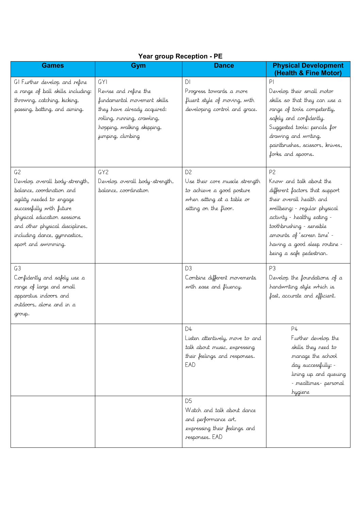| <b>Games</b>                                                                                                                                                                                                                                                    | Gym                                                                                                                                                                                 | <b>Dance</b>                                                                                                                         | <b>Physical Development</b><br>(Health & Fine Motor)                                                                                                                                                                                                                                           |
|-----------------------------------------------------------------------------------------------------------------------------------------------------------------------------------------------------------------------------------------------------------------|-------------------------------------------------------------------------------------------------------------------------------------------------------------------------------------|--------------------------------------------------------------------------------------------------------------------------------------|------------------------------------------------------------------------------------------------------------------------------------------------------------------------------------------------------------------------------------------------------------------------------------------------|
| GI Further develop and refine<br>a range of ball skills including:<br>throwing, catching, kicking,<br>passing, batting, and aiming.                                                                                                                             | <b>GYI</b><br>Revise and refine the<br>fundamental movement skills<br>they have already acquired:<br>rolling, running, crawling,<br>hopping, walking skipping,<br>jumping, climbing | DI<br>Progress towards a more<br>fluent style of moving, with<br>developing control and grace.                                       | P<br>Develop their small motor<br>skills so that they can use a<br>range of tools competently,<br>safely and confidently.<br>Suggested tools: pencils for<br>drawing and writing,<br>paintbrushes, scissors, knives,<br>forks and spoons.                                                      |
| G <sub>2</sub><br>Develop overall body-strength,<br>balance, coordination and<br>agility needed to engage<br>successfully with future<br>physical education sessions.<br>and other physical disciplines,<br>including dance, gymnastics,<br>sport and swimming. | GY <sub>2</sub><br>Develop overall body-strength,<br>balance, coordination                                                                                                          | D <sub>2</sub><br>Use their core muscle strength<br>to achieve a good posture<br>when sitting at a table or<br>sitting on the floor. | P <sub>2</sub><br>Know and talk about the<br>different factors that support<br>their overall health and<br>wellbeing: - regular physical<br>activity - healthy eating -<br>toothbrushing - sensible<br>amounts of 'screen time' -<br>having a good sleep routine -<br>being a safe pedestrian. |
| G <sub>3</sub><br>Confidently and safely use a<br>range of large and small<br>apparatus indoors and<br>outdoors, alone and in a<br>group.                                                                                                                       |                                                                                                                                                                                     | D <sub>3</sub><br>Combine different movements<br>with ease and fluency.                                                              | P <sub>3</sub><br>Develop the foundations of a<br>handwriting style which is<br>fast, accurate and efficient.                                                                                                                                                                                  |
|                                                                                                                                                                                                                                                                 |                                                                                                                                                                                     | D4<br>Listen attentively, move to and<br>talk about music, expressing<br>their feelings and responses.<br>EAD                        | P4<br>Further develop the<br>skills they need to<br>manage the school<br>day successfully: -<br>lining up and queuing<br>- mealtimes- personal<br>hygiene                                                                                                                                      |
|                                                                                                                                                                                                                                                                 |                                                                                                                                                                                     | D <sub>5</sub><br>Watch and talk about dance<br>and performance art,<br>expressing their feelings and<br>responses. EAD              |                                                                                                                                                                                                                                                                                                |

## **Year group Reception - PE**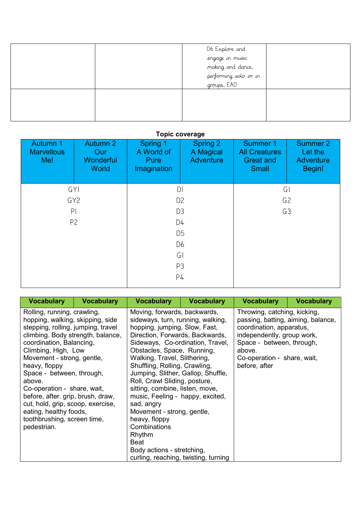|  | D6 Explore and<br>engage in music<br>making and dance,<br>performing solo or in<br>groups. EAD |  |
|--|------------------------------------------------------------------------------------------------|--|
|  |                                                                                                |  |

## **Topic coverage**

| <b>Autumn 1</b><br><b>Marvellous</b><br>Me! | <b>Autumn 2</b><br>Our<br>Wonderful<br><b>World</b> | Spring 1<br>A World of<br><b>Pure</b><br>Imagination | Spring 2<br>A Magical<br><b>Adventure</b> | <b>Summer 1</b><br><b>All Creatures</b><br><b>Great and</b><br><b>Small</b> | <b>Summer 2</b><br>Let the<br><b>Adventure</b><br>Begin! |
|---------------------------------------------|-----------------------------------------------------|------------------------------------------------------|-------------------------------------------|-----------------------------------------------------------------------------|----------------------------------------------------------|
| GY                                          |                                                     | D <sub>l</sub>                                       |                                           | G                                                                           |                                                          |
|                                             | GY <sub>2</sub>                                     |                                                      | D <sub>2</sub>                            |                                                                             | G <sub>2</sub>                                           |
| P                                           |                                                     | G3<br>D <sub>3</sub>                                 |                                           |                                                                             |                                                          |
|                                             | P <sub>2</sub>                                      | D4                                                   |                                           |                                                                             |                                                          |
|                                             |                                                     |                                                      | D <sub>5</sub>                            |                                                                             |                                                          |
|                                             |                                                     |                                                      | D <sub>6</sub>                            |                                                                             |                                                          |
|                                             |                                                     | G <sub>1</sub>                                       |                                           |                                                                             |                                                          |
|                                             |                                                     |                                                      | P <sub>3</sub>                            |                                                                             |                                                          |
|                                             |                                                     |                                                      | P4                                        |                                                                             |                                                          |

| <b>Vocabulary</b>                                                                                                                                                                                                                                                                                                                                                                                                                                                    | <b>Vocabulary</b> | <b>Vocabulary</b>                                                                                                                                                                                                                                                                                                                                                                                                                                                                                                                                                                           | <b>Vocabulary</b> | <b>Vocabulary</b>                                                                                                                                                                                                   | <b>Vocabulary</b> |
|----------------------------------------------------------------------------------------------------------------------------------------------------------------------------------------------------------------------------------------------------------------------------------------------------------------------------------------------------------------------------------------------------------------------------------------------------------------------|-------------------|---------------------------------------------------------------------------------------------------------------------------------------------------------------------------------------------------------------------------------------------------------------------------------------------------------------------------------------------------------------------------------------------------------------------------------------------------------------------------------------------------------------------------------------------------------------------------------------------|-------------------|---------------------------------------------------------------------------------------------------------------------------------------------------------------------------------------------------------------------|-------------------|
| Rolling, running, crawling,<br>hopping, walking, skipping, side<br>stepping, rolling, jumping, travel<br>climbing. Body strength, balance,<br>coordination, Balancing,<br>Climbing, High, Low<br>Movement - strong, gentle,<br>heavy, floppy<br>Space - between, through,<br>above.<br>Co-operation - share, wait,<br>before, after. grip, brush, draw,<br>cut, hold, grip, scoop, exercise,<br>eating, healthy foods,<br>toothbrushing, screen time,<br>pedestrian. |                   | Moving, forwards, backwards,<br>sideways, turn, running, walking,<br>hopping, jumping, Slow, Fast,<br>Direction, Forwards, Backwards,<br>Sideways, Co-ordination, Travel,<br>Obstacles, Space, Running,<br>Walking, Travel, Slithering,<br>Shuffling, Rolling, Crawling,<br>Jumping, Slither, Gallop, Shuffle,<br>Roll, Crawl Sliding, posture,<br>sitting, combine, listen, move,<br>music, Feeling - happy, excited,<br>sad, angry<br>Movement - strong, gentle,<br>heavy, floppy<br>Combinations<br>Rhythm<br>Beat<br>Body actions - stretching,<br>curling, reaching, twisting, turning |                   | Throwing, catching, kicking,<br>passing, batting, aiming, balance,<br>coordination, apparatus,<br>independently, group work,<br>Space - between, through,<br>above.<br>Co-operation - share, wait,<br>before, after |                   |